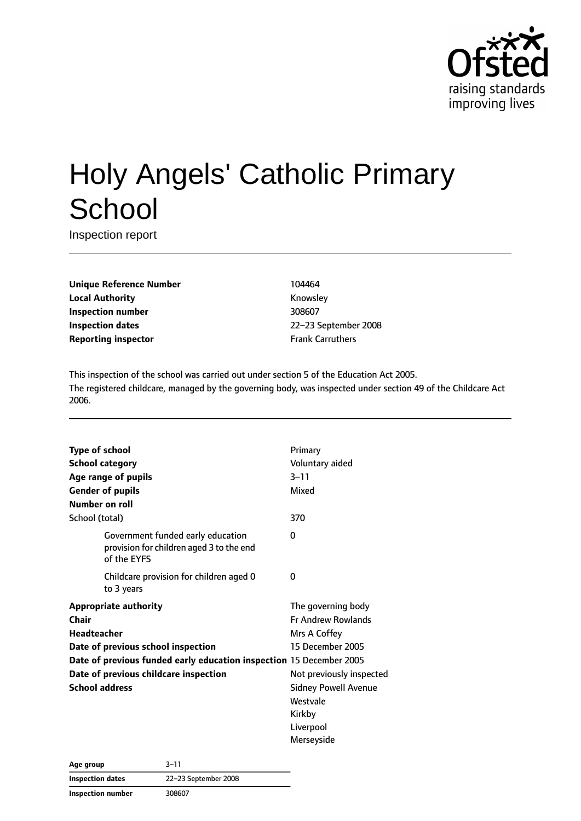

# Holy Angels' Catholic Primary **School**

Inspection report

**Unique Reference Number** 104464 **Local Authority Knowsley Inspection number** 308607 **Inspection dates** 22–23 September 2008 **Reporting inspector Frank Carruthers** 

This inspection of the school was carried out under section 5 of the Education Act 2005. The registered childcare, managed by the governing body, was inspected under section 49 of the Childcare Act 2006.

| <b>Type of school</b>  |                                                                                              | Primary                     |  |
|------------------------|----------------------------------------------------------------------------------------------|-----------------------------|--|
| <b>School category</b> |                                                                                              | Voluntary aided             |  |
|                        | Age range of pupils                                                                          | $3 - 11$                    |  |
|                        | <b>Gender of pupils</b>                                                                      | Mixed                       |  |
| Number on roll         |                                                                                              |                             |  |
| School (total)         |                                                                                              | 370                         |  |
|                        | Government funded early education<br>provision for children aged 3 to the end<br>of the EYFS | 0                           |  |
|                        | Childcare provision for children aged 0<br>to 3 years                                        | 0                           |  |
|                        | <b>Appropriate authority</b>                                                                 | The governing body          |  |
| Chair                  |                                                                                              | <b>Fr Andrew Rowlands</b>   |  |
| Headteacher            |                                                                                              | Mrs A Coffey                |  |
|                        | Date of previous school inspection                                                           | 15 December 2005            |  |
|                        | Date of previous funded early education inspection 15 December 2005                          |                             |  |
|                        | Date of previous childcare inspection                                                        | Not previously inspected    |  |
| <b>School address</b>  |                                                                                              | <b>Sidney Powell Avenue</b> |  |
|                        |                                                                                              | Westvale                    |  |
|                        |                                                                                              | Kirkby                      |  |
|                        |                                                                                              | Liverpool                   |  |
|                        |                                                                                              | Merseyside                  |  |

| Age group               | $3 - 11$             |  |
|-------------------------|----------------------|--|
| <b>Inspection dates</b> | 22-23 September 2008 |  |
| Inspection number       | 308607               |  |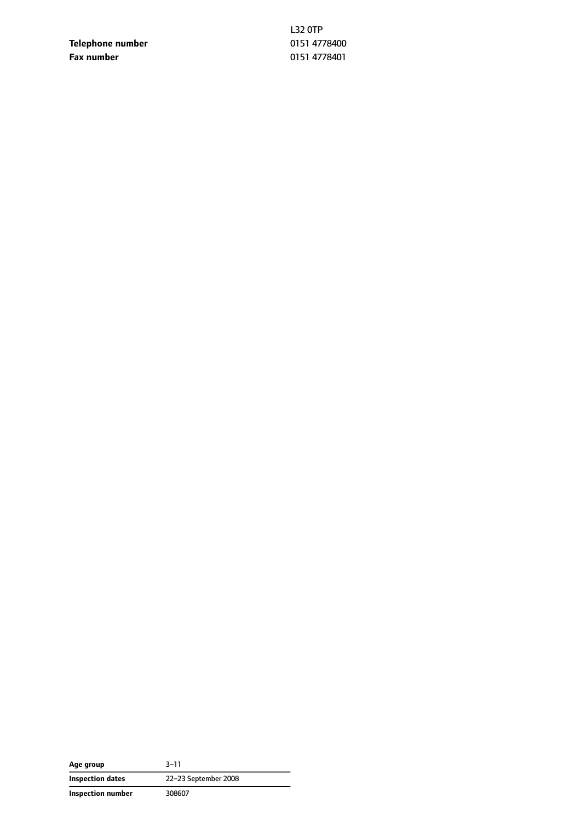**Telephone number** 0151 4778400 **Fax number** 0151 4778401

L32 0TP

| Age group                | $3 - 11$             |  |
|--------------------------|----------------------|--|
| <b>Inspection dates</b>  | 22-23 September 2008 |  |
| <b>Inspection number</b> | 308607               |  |

 $\overline{\phantom{a}}$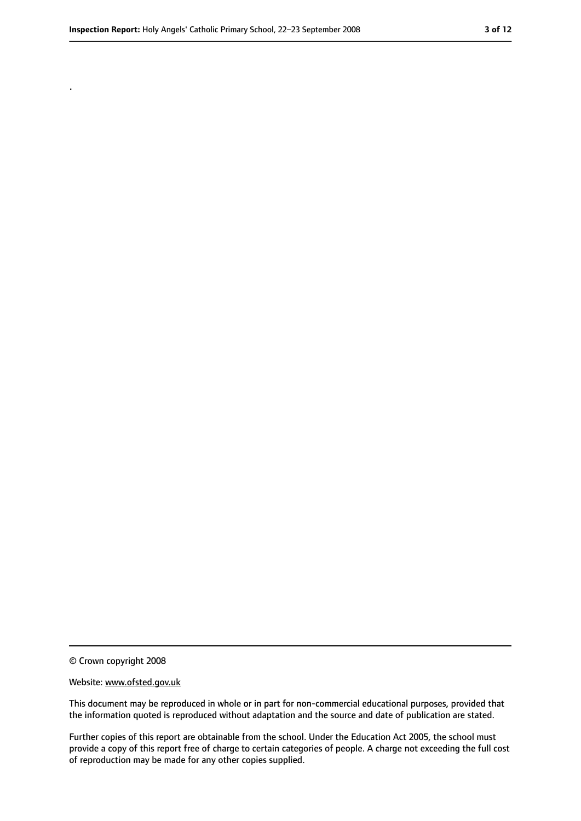.

<sup>©</sup> Crown copyright 2008

Website: www.ofsted.gov.uk

This document may be reproduced in whole or in part for non-commercial educational purposes, provided that the information quoted is reproduced without adaptation and the source and date of publication are stated.

Further copies of this report are obtainable from the school. Under the Education Act 2005, the school must provide a copy of this report free of charge to certain categories of people. A charge not exceeding the full cost of reproduction may be made for any other copies supplied.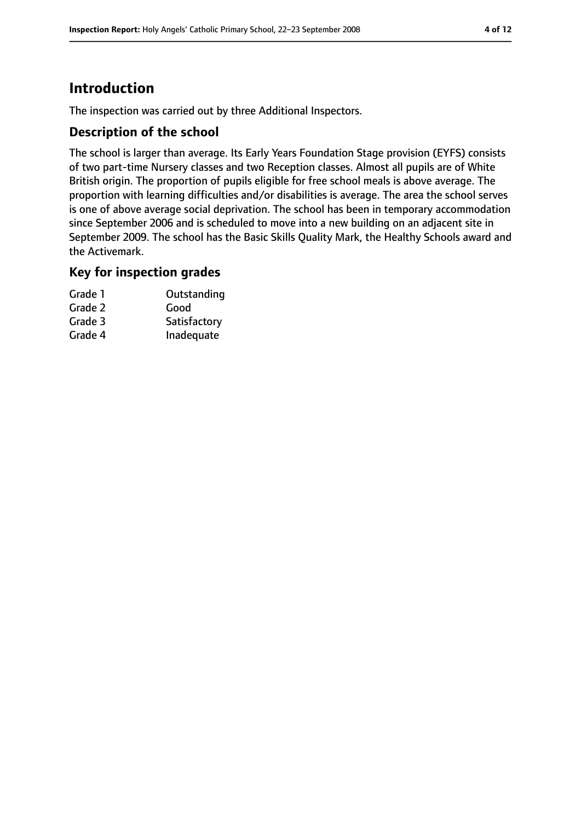# **Introduction**

The inspection was carried out by three Additional Inspectors.

## **Description of the school**

The school is larger than average. Its Early Years Foundation Stage provision (EYFS) consists of two part-time Nursery classes and two Reception classes. Almost all pupils are of White British origin. The proportion of pupils eligible for free school meals is above average. The proportion with learning difficulties and/or disabilities is average. The area the school serves is one of above average social deprivation. The school has been in temporary accommodation since September 2006 and is scheduled to move into a new building on an adjacent site in September 2009. The school has the Basic Skills Quality Mark, the Healthy Schools award and the Activemark.

#### **Key for inspection grades**

| Grade 1 | Outstanding  |
|---------|--------------|
| Grade 2 | Good         |
| Grade 3 | Satisfactory |
| Grade 4 | Inadequate   |
|         |              |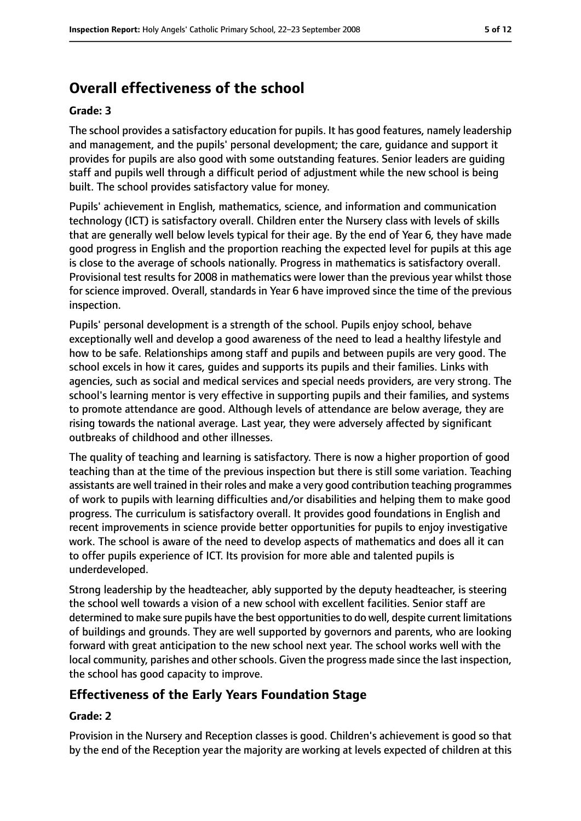# **Overall effectiveness of the school**

#### **Grade: 3**

The school provides a satisfactory education for pupils. It has good features, namely leadership and management, and the pupils' personal development; the care, guidance and support it provides for pupils are also good with some outstanding features. Senior leaders are guiding staff and pupils well through a difficult period of adjustment while the new school is being built. The school provides satisfactory value for money.

Pupils' achievement in English, mathematics, science, and information and communication technology (ICT) is satisfactory overall. Children enter the Nursery class with levels of skills that are generally well below levels typical for their age. By the end of Year 6, they have made good progress in English and the proportion reaching the expected level for pupils at this age is close to the average of schools nationally. Progress in mathematics is satisfactory overall. Provisional test results for 2008 in mathematics were lower than the previous year whilst those for science improved. Overall, standards in Year 6 have improved since the time of the previous inspection.

Pupils' personal development is a strength of the school. Pupils enjoy school, behave exceptionally well and develop a good awareness of the need to lead a healthy lifestyle and how to be safe. Relationships among staff and pupils and between pupils are very good. The school excels in how it cares, guides and supports its pupils and their families. Links with agencies, such as social and medical services and special needs providers, are very strong. The school's learning mentor is very effective in supporting pupils and their families, and systems to promote attendance are good. Although levels of attendance are below average, they are rising towards the national average. Last year, they were adversely affected by significant outbreaks of childhood and other illnesses.

The quality of teaching and learning is satisfactory. There is now a higher proportion of good teaching than at the time of the previous inspection but there is still some variation. Teaching assistants are well trained in their roles and make a very good contribution teaching programmes of work to pupils with learning difficulties and/or disabilities and helping them to make good progress. The curriculum is satisfactory overall. It provides good foundations in English and recent improvements in science provide better opportunities for pupils to enjoy investigative work. The school is aware of the need to develop aspects of mathematics and does all it can to offer pupils experience of ICT. Its provision for more able and talented pupils is underdeveloped.

Strong leadership by the headteacher, ably supported by the deputy headteacher, is steering the school well towards a vision of a new school with excellent facilities. Senior staff are determined to make sure pupils have the best opportunitiesto do well, despite current limitations of buildings and grounds. They are well supported by governors and parents, who are looking forward with great anticipation to the new school next year. The school works well with the local community, parishes and other schools. Given the progress made since the last inspection, the school has good capacity to improve.

## **Effectiveness of the Early Years Foundation Stage**

#### **Grade: 2**

Provision in the Nursery and Reception classes is good. Children's achievement is good so that by the end of the Reception year the majority are working at levels expected of children at this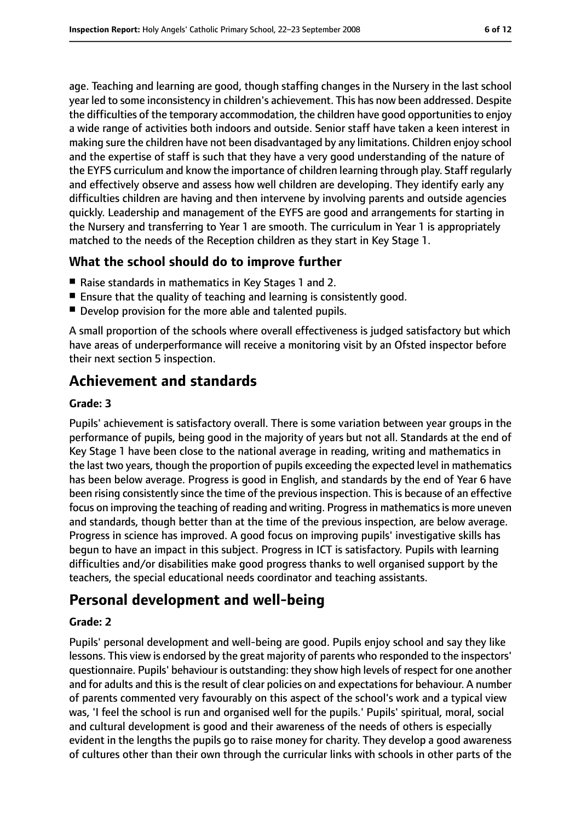age. Teaching and learning are good, though staffing changes in the Nursery in the last school year led to some inconsistency in children's achievement. This has now been addressed. Despite the difficulties of the temporary accommodation, the children have good opportunities to enjoy a wide range of activities both indoors and outside. Senior staff have taken a keen interest in making sure the children have not been disadvantaged by any limitations. Children enjoy school and the expertise of staff is such that they have a very good understanding of the nature of the EYFS curriculum and know the importance of children learning through play. Staff regularly and effectively observe and assess how well children are developing. They identify early any difficulties children are having and then intervene by involving parents and outside agencies quickly. Leadership and management of the EYFS are good and arrangements for starting in the Nursery and transferring to Year 1 are smooth. The curriculum in Year 1 is appropriately matched to the needs of the Reception children as they start in Key Stage 1.

## **What the school should do to improve further**

- Raise standards in mathematics in Key Stages 1 and 2.
- Ensure that the quality of teaching and learning is consistently good.
- Develop provision for the more able and talented pupils.

A small proportion of the schools where overall effectiveness is judged satisfactory but which have areas of underperformance will receive a monitoring visit by an Ofsted inspector before their next section 5 inspection.

# **Achievement and standards**

#### **Grade: 3**

Pupils' achievement is satisfactory overall. There is some variation between year groups in the performance of pupils, being good in the majority of years but not all. Standards at the end of Key Stage 1 have been close to the national average in reading, writing and mathematics in the last two years, though the proportion of pupils exceeding the expected level in mathematics has been below average. Progress is good in English, and standards by the end of Year 6 have been rising consistently since the time of the previous inspection. This is because of an effective focus on improving the teaching of reading and writing. Progress in mathematics is more uneven and standards, though better than at the time of the previous inspection, are below average. Progress in science has improved. A good focus on improving pupils' investigative skills has begun to have an impact in this subject. Progress in ICT is satisfactory. Pupils with learning difficulties and/or disabilities make good progress thanks to well organised support by the teachers, the special educational needs coordinator and teaching assistants.

# **Personal development and well-being**

#### **Grade: 2**

Pupils' personal development and well-being are good. Pupils enjoy school and say they like lessons. This view is endorsed by the great majority of parents who responded to the inspectors' questionnaire. Pupils' behaviour is outstanding: they show high levels of respect for one another and for adults and this is the result of clear policies on and expectations for behaviour. A number of parents commented very favourably on this aspect of the school's work and a typical view was, 'I feel the school is run and organised well for the pupils.' Pupils' spiritual, moral, social and cultural development is good and their awareness of the needs of others is especially evident in the lengths the pupils go to raise money for charity. They develop a good awareness of cultures other than their own through the curricular links with schools in other parts of the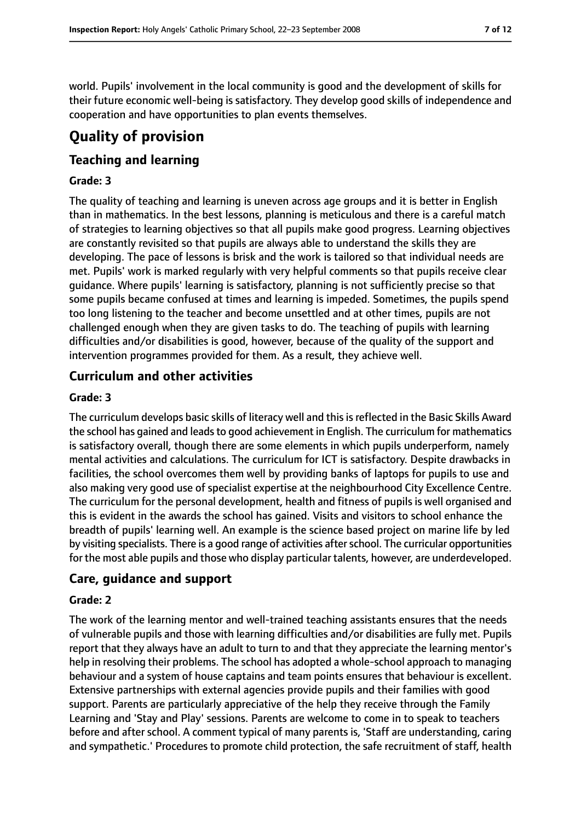world. Pupils' involvement in the local community is good and the development of skills for their future economic well-being is satisfactory. They develop good skills of independence and cooperation and have opportunities to plan events themselves.

# **Quality of provision**

## **Teaching and learning**

#### **Grade: 3**

The quality of teaching and learning is uneven across age groups and it is better in English than in mathematics. In the best lessons, planning is meticulous and there is a careful match of strategies to learning objectives so that all pupils make good progress. Learning objectives are constantly revisited so that pupils are always able to understand the skills they are developing. The pace of lessons is brisk and the work is tailored so that individual needs are met. Pupils' work is marked regularly with very helpful comments so that pupils receive clear guidance. Where pupils' learning is satisfactory, planning is not sufficiently precise so that some pupils became confused at times and learning is impeded. Sometimes, the pupils spend too long listening to the teacher and become unsettled and at other times, pupils are not challenged enough when they are given tasks to do. The teaching of pupils with learning difficulties and/or disabilities is good, however, because of the quality of the support and intervention programmes provided for them. As a result, they achieve well.

## **Curriculum and other activities**

#### **Grade: 3**

The curriculum develops basic skills of literacy well and this is reflected in the Basic Skills Award the school has gained and leads to good achievement in English. The curriculum for mathematics is satisfactory overall, though there are some elements in which pupils underperform, namely mental activities and calculations. The curriculum for ICT is satisfactory. Despite drawbacks in facilities, the school overcomes them well by providing banks of laptops for pupils to use and also making very good use of specialist expertise at the neighbourhood City Excellence Centre. The curriculum for the personal development, health and fitness of pupils is well organised and this is evident in the awards the school has gained. Visits and visitors to school enhance the breadth of pupils' learning well. An example is the science based project on marine life by led by visiting specialists. There is a good range of activities afterschool. The curricular opportunities for the most able pupils and those who display particular talents, however, are underdeveloped.

#### **Care, guidance and support**

#### **Grade: 2**

The work of the learning mentor and well-trained teaching assistants ensures that the needs of vulnerable pupils and those with learning difficulties and/or disabilities are fully met. Pupils report that they always have an adult to turn to and that they appreciate the learning mentor's help in resolving their problems. The school has adopted a whole-school approach to managing behaviour and a system of house captains and team points ensures that behaviour is excellent. Extensive partnerships with external agencies provide pupils and their families with good support. Parents are particularly appreciative of the help they receive through the Family Learning and 'Stay and Play' sessions. Parents are welcome to come in to speak to teachers before and after school. A comment typical of many parents is, 'Staff are understanding, caring and sympathetic.' Procedures to promote child protection, the safe recruitment of staff, health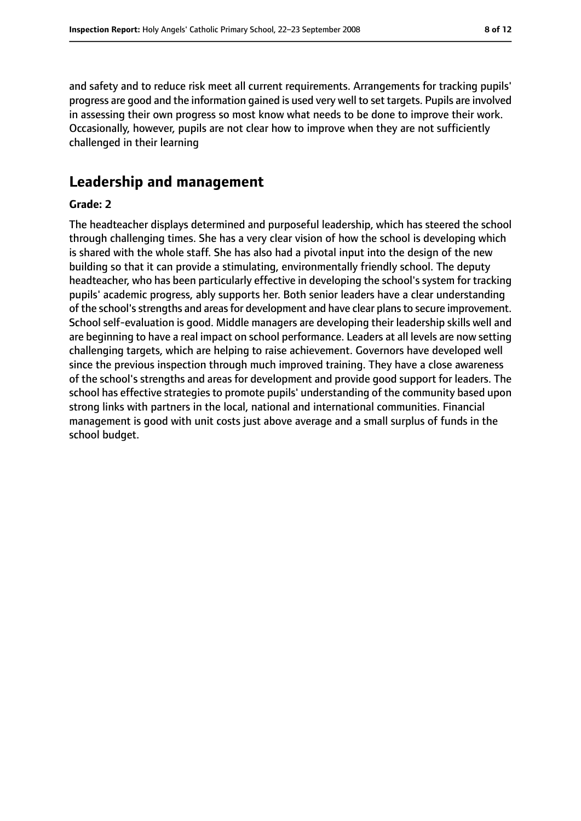and safety and to reduce risk meet all current requirements. Arrangements for tracking pupils' progress are good and the information gained is used very well to set targets. Pupils are involved in assessing their own progress so most know what needs to be done to improve their work. Occasionally, however, pupils are not clear how to improve when they are not sufficiently challenged in their learning

# **Leadership and management**

#### **Grade: 2**

The headteacher displays determined and purposeful leadership, which has steered the school through challenging times. She has a very clear vision of how the school is developing which is shared with the whole staff. She has also had a pivotal input into the design of the new building so that it can provide a stimulating, environmentally friendly school. The deputy headteacher, who has been particularly effective in developing the school's system for tracking pupils' academic progress, ably supports her. Both senior leaders have a clear understanding of the school'sstrengths and areasfor development and have clear plansto secure improvement. School self-evaluation is good. Middle managers are developing their leadership skills well and are beginning to have a real impact on school performance. Leaders at all levels are now setting challenging targets, which are helping to raise achievement. Governors have developed well since the previous inspection through much improved training. They have a close awareness of the school's strengths and areas for development and provide good support for leaders. The school has effective strategies to promote pupils' understanding of the community based upon strong links with partners in the local, national and international communities. Financial management is good with unit costs just above average and a small surplus of funds in the school budget.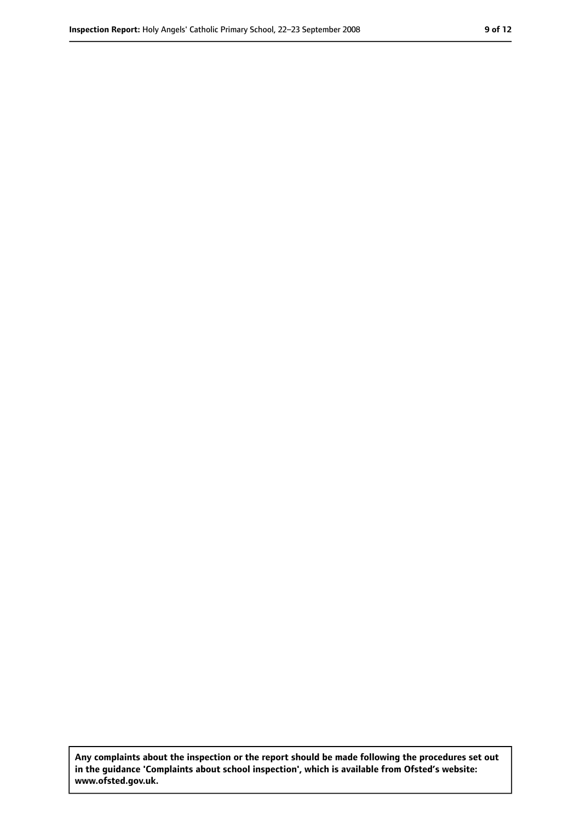**Any complaints about the inspection or the report should be made following the procedures set out in the guidance 'Complaints about school inspection', which is available from Ofsted's website: www.ofsted.gov.uk.**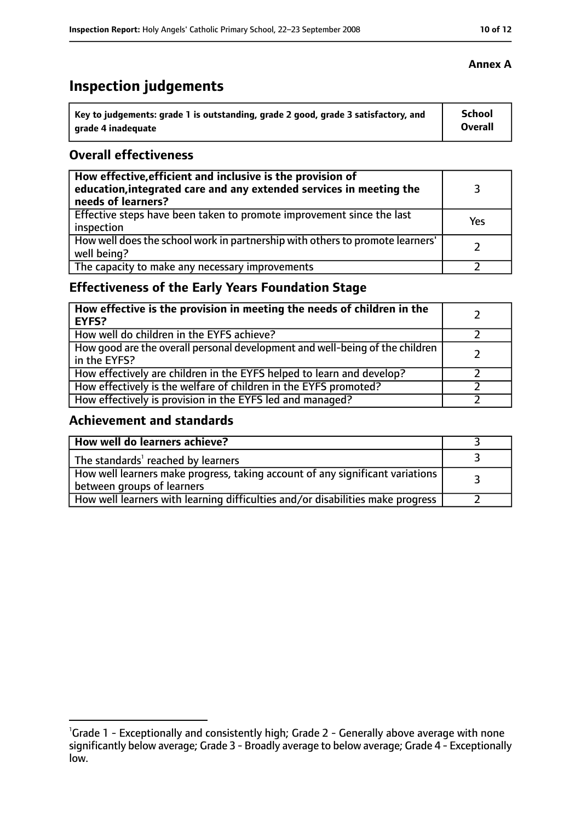# **Inspection judgements**

| Key to judgements: grade 1 is outstanding, grade 2 good, grade 3 satisfactory, and | <b>School</b>  |
|------------------------------------------------------------------------------------|----------------|
| arade 4 inadequate                                                                 | <b>Overall</b> |

## **Overall effectiveness**

| How effective, efficient and inclusive is the provision of<br>education, integrated care and any extended services in meeting the<br>needs of learners? |     |
|---------------------------------------------------------------------------------------------------------------------------------------------------------|-----|
| Effective steps have been taken to promote improvement since the last<br>inspection                                                                     | Yes |
| How well does the school work in partnership with others to promote learners'<br>well being?                                                            |     |
| The capacity to make any necessary improvements                                                                                                         |     |

# **Effectiveness of the Early Years Foundation Stage**

| How effective is the provision in meeting the needs of children in the<br><b>EYFS?</b>       |  |
|----------------------------------------------------------------------------------------------|--|
| How well do children in the EYFS achieve?                                                    |  |
| How good are the overall personal development and well-being of the children<br>in the EYFS? |  |
| How effectively are children in the EYFS helped to learn and develop?                        |  |
| How effectively is the welfare of children in the EYFS promoted?                             |  |
| How effectively is provision in the EYFS led and managed?                                    |  |

## **Achievement and standards**

| How well do learners achieve?                                                                               |  |
|-------------------------------------------------------------------------------------------------------------|--|
| The standards <sup>1</sup> reached by learners                                                              |  |
| How well learners make progress, taking account of any significant variations<br>between groups of learners |  |
| How well learners with learning difficulties and/or disabilities make progress                              |  |

## **Annex A**

<sup>&</sup>lt;sup>1</sup>Grade 1 - Exceptionally and consistently high; Grade 2 - Generally above average with none significantly below average; Grade 3 - Broadly average to below average; Grade 4 - Exceptionally low.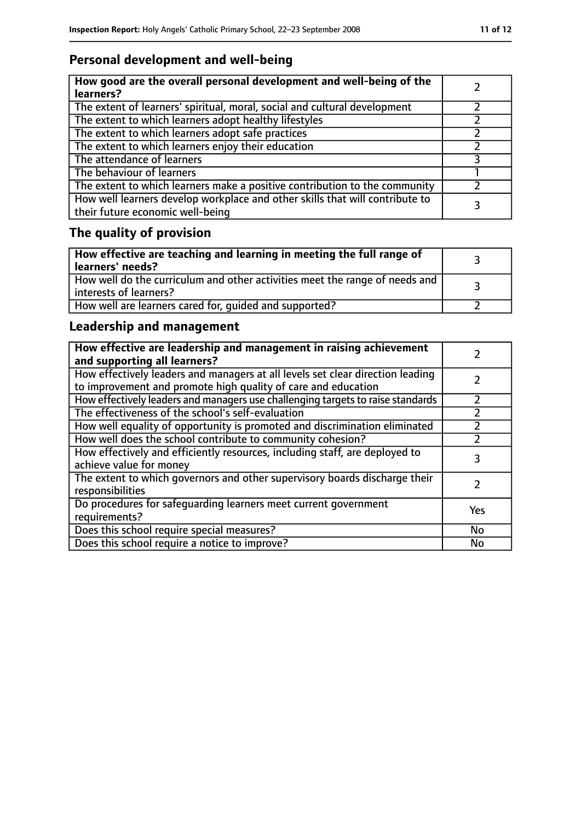# **Personal development and well-being**

| How good are the overall personal development and well-being of the<br>learners?                                 |  |
|------------------------------------------------------------------------------------------------------------------|--|
| The extent of learners' spiritual, moral, social and cultural development                                        |  |
| The extent to which learners adopt healthy lifestyles                                                            |  |
| The extent to which learners adopt safe practices                                                                |  |
| The extent to which learners enjoy their education                                                               |  |
| The attendance of learners                                                                                       |  |
| The behaviour of learners                                                                                        |  |
| The extent to which learners make a positive contribution to the community                                       |  |
| How well learners develop workplace and other skills that will contribute to<br>their future economic well-being |  |

# **The quality of provision**

| How effective are teaching and learning in meeting the full range of<br>learners' needs?              |  |
|-------------------------------------------------------------------------------------------------------|--|
| How well do the curriculum and other activities meet the range of needs and<br>interests of learners? |  |
| How well are learners cared for, quided and supported?                                                |  |

# **Leadership and management**

| How effective are leadership and management in raising achievement<br>and supporting all learners?                                              |     |
|-------------------------------------------------------------------------------------------------------------------------------------------------|-----|
| How effectively leaders and managers at all levels set clear direction leading<br>to improvement and promote high quality of care and education |     |
| How effectively leaders and managers use challenging targets to raise standards                                                                 |     |
| The effectiveness of the school's self-evaluation                                                                                               |     |
| How well equality of opportunity is promoted and discrimination eliminated                                                                      |     |
| How well does the school contribute to community cohesion?                                                                                      |     |
| How effectively and efficiently resources, including staff, are deployed to<br>achieve value for money                                          |     |
| The extent to which governors and other supervisory boards discharge their<br>responsibilities                                                  |     |
| Do procedures for safequarding learners meet current government<br>requirements?                                                                | Yes |
| Does this school require special measures?                                                                                                      | No  |
| Does this school require a notice to improve?                                                                                                   | No  |